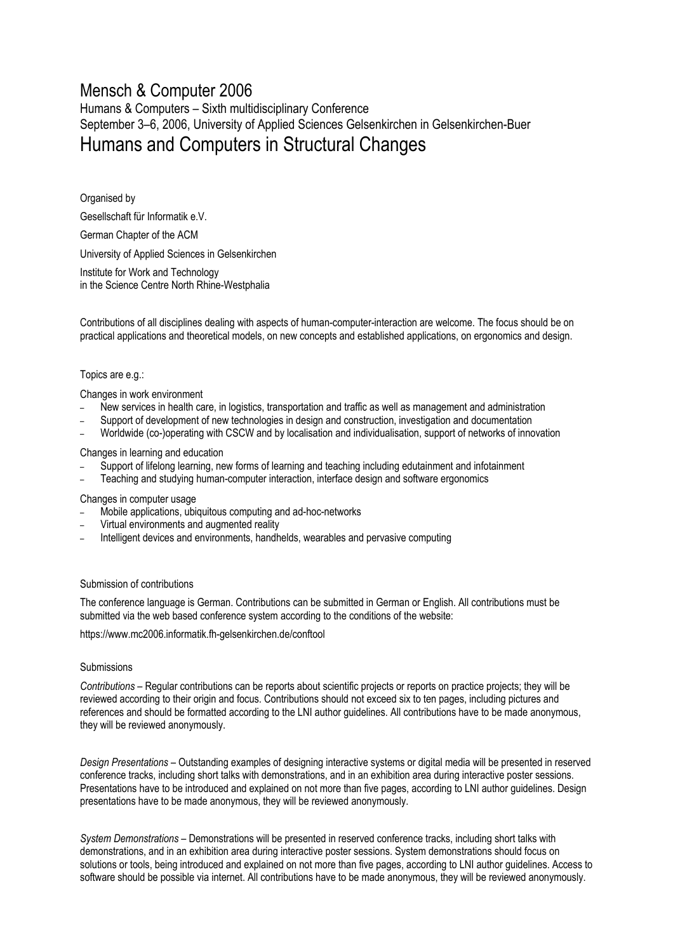# Mensch & Computer 2006

Humans & Computers – Sixth multidisciplinary Conference September 3–6, 2006, University of Applied Sciences Gelsenkirchen in Gelsenkirchen-Buer Humans and Computers in Structural Changes

Organised by Gesellschaft für Informatik e.V. German Chapter of the ACM University of Applied Sciences in Gelsenkirchen Institute for Work and Technology in the Science Centre North Rhine-Westphalia

Contributions of all disciplines dealing with aspects of human-computer-interaction are welcome. The focus should be on practical applications and theoretical models, on new concepts and established applications, on ergonomics and design.

## Topics are e.g.:

Changes in work environment

- New services in health care, in logistics, transportation and traffic as well as management and administration
- Support of development of new technologies in design and construction, investigation and documentation
- Worldwide (co-)operating with CSCW and by localisation and individualisation, support of networks of innovation

Changes in learning and education

- Support of lifelong learning, new forms of learning and teaching including edutainment and infotainment
- Teaching and studying human-computer interaction, interface design and software ergonomics

Changes in computer usage

- Mobile applications, ubiquitous computing and ad-hoc-networks
- Virtual environments and augmented reality
- Intelligent devices and environments, handhelds, wearables and pervasive computing

### Submission of contributions

The conference language is German. Contributions can be submitted in German or English. All contributions must be submitted via the web based conference system according to the conditions of the website:

https://www.mc2006.informatik.fh-gelsenkirchen.de/conftool

### Submissions

*Contributions* – Regular contributions can be reports about scientific projects or reports on practice projects; they will be reviewed according to their origin and focus. Contributions should not exceed six to ten pages, including pictures and references and should be formatted according to the LNI author guidelines. All contributions have to be made anonymous, they will be reviewed anonymously.

*Design Presentations* – Outstanding examples of designing interactive systems or digital media will be presented in reserved conference tracks, including short talks with demonstrations, and in an exhibition area during interactive poster sessions. Presentations have to be introduced and explained on not more than five pages, according to LNI author guidelines. Design presentations have to be made anonymous, they will be reviewed anonymously.

*System Demonstrations* – Demonstrations will be presented in reserved conference tracks, including short talks with demonstrations, and in an exhibition area during interactive poster sessions. System demonstrations should focus on solutions or tools, being introduced and explained on not more than five pages, according to LNI author guidelines. Access to software should be possible via internet. All contributions have to be made anonymous, they will be reviewed anonymously.